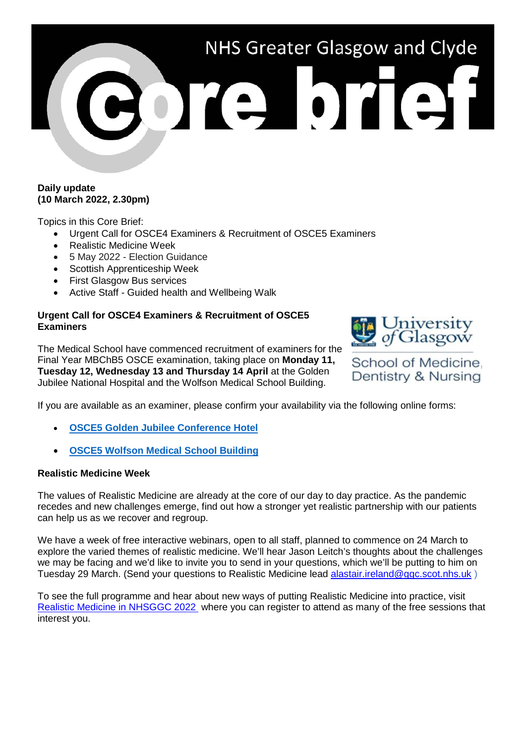# NHS Greater Glasgow and Clyde ore brief

## **Daily update (10 March 2022, 2.30pm)**

Topics in this Core Brief:

- Urgent Call for OSCE4 Examiners & Recruitment of OSCE5 Examiners
- Realistic Medicine Week
- 5 May 2022 Election Guidance
- Scottish Apprenticeship Week
- First Glasgow Bus services
- Active Staff Guided health and Wellbeing Walk

## **Urgent Call for OSCE4 Examiners & Recruitment of OSCE5 Examiners**

The Medical School have commenced recruitment of examiners for the Final Year MBChB5 OSCE examination, taking place on **Monday 11, Tuesday 12, Wednesday 13 and Thursday 14 April** at the Golden Jubilee National Hospital and the Wolfson Medical School Building.



School of Medicine, Dentistry & Nursing

If you are available as an examiner, please confirm your availability via the following online forms:

- **[OSCE5 Golden Jubilee Conference Hotel](https://forms.office.com/Pages/ResponsePage.aspx?id=KVxybjp2UE-B8i4lTwEzyGalLaWp88JJjXCX9zcXzuhUM0RIVDQxQzFZOUwxR1Y0R1FNN1FBRzdLSS4u)**
- **[OSCE5 Wolfson Medical School Building](https://forms.office.com/Pages/ResponsePage.aspx?id=KVxybjp2UE-B8i4lTwEzyGalLaWp88JJjXCX9zcXzuhUMURKQTdBTFU3UlFOVElMMk80NUJNS1NOSy4u)**

### **Realistic Medicine Week**

The values of Realistic Medicine are already at the core of our day to day practice. As the pandemic recedes and new challenges emerge, find out how a stronger yet realistic partnership with our patients can help us as we recover and regroup.

We have a week of free interactive webinars, open to all staff, planned to commence on 24 March to explore the varied themes of realistic medicine. We'll hear Jason Leitch's thoughts about the challenges we may be facing and we'd like to invite you to send in your questions, which we'll be putting to him on Tuesday 29 March. (Send your questions to Realistic Medicine lead [alastair.ireland@ggc.scot.nhs.uk](mailto:alastair.ireland@ggc.scot.nhs.uk) )

To see the full programme and hear about new ways of putting Realistic Medicine into practice, visit [Realistic Medicine in NHSGGC 2022](https://www.nhsggc.org.uk/patients-and-visitors/realistic-medicine/realistic-medicine-week-at-nhsggc-2022/) where you can register to attend as many of the free sessions that interest you.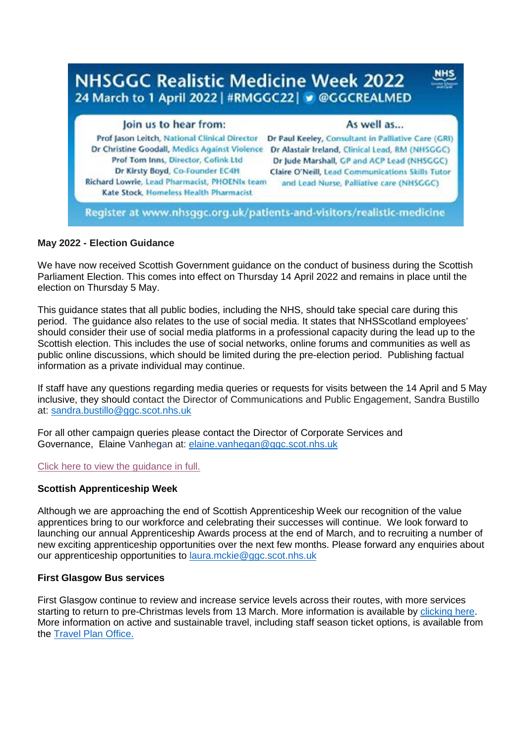

### **May 2022 - Election Guidance**

We have now received Scottish Government guidance on the conduct of business during the Scottish Parliament Election. This comes into effect on Thursday 14 April 2022 and remains in place until the election on Thursday 5 May.

This guidance states that all public bodies, including the NHS, should take special care during this period. The guidance also relates to the use of social media. It states that NHSScotland employees' should consider their use of social media platforms in a professional capacity during the lead up to the Scottish election. This includes the use of social networks, online forums and communities as well as public online discussions, which should be limited during the pre-election period. Publishing factual information as a private individual may continue.

If staff have any questions regarding media queries or requests for visits between the 14 April and 5 May inclusive, they should contact the Director of Communications and Public Engagement, Sandra Bustillo at: [sandra.bustillo@ggc.scot.nhs.uk](mailto:sandra.bustillo@ggc.scot.nhs.uk)

For all other campaign queries please contact the Director of Corporate Services and Governance, Elaine Vanhegan at: [elaine.vanhegan@ggc.scot.nhs.uk](mailto:elaine.vanhegan@ggc.scot.nhs.uk)

[Click here to view the guidance in full.](https://www.gov.scot/publications/scottish-local-government-election-guidance-2022/)

#### **Scottish Apprenticeship Week**

Although we are approaching the end of Scottish Apprenticeship Week our recognition of the value apprentices bring to our workforce and celebrating their successes will continue. We look forward to launching our annual Apprenticeship Awards process at the end of March, and to recruiting a number of new exciting apprenticeship opportunities over the next few months. Please forward any enquiries about our apprenticeship opportunities to [laura.mckie@ggc.scot.nhs.uk](mailto:laura.mckie@ggc.scot.nhs.uk)

#### **First Glasgow Bus services**

First Glasgow continue to review and increase service levels across their routes, with more services starting to return to pre-Christmas levels from 13 March. More information is available by [clicking here.](https://www.firstbus.co.uk/greater-glasgow/plan-journey/forthcoming-timetables-service-information) More information on active and sustainable travel, including staff season ticket options, is available from the [Travel Plan Office.](https://www.nhsggc.org.uk/working-with-us/staff-communications/staff-benefits-services-travel/travel/)